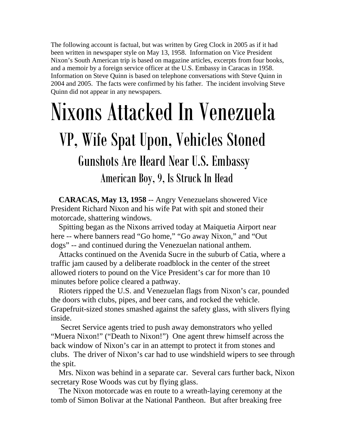The following account is factual, but was written by Greg Clock in 2005 as if it had been written in newspaper style on May 13, 1958. Information on Vice President Nixon's South American trip is based on magazine articles, excerpts from four books, and a memoir by a foreign service officer at the U.S. Embassy in Caracas in 1958. Information on Steve Quinn is based on telephone conversations with Steve Quinn in 2004 and 2005. The facts were confirmed by his father. The incident involving Steve Quinn did not appear in any newspapers.

## Nixons Attacked In Venezuela VP, Wife Spat Upon, Vehicles Stoned Gunshots Are Heard Near U.S. Embassy American Boy, 9, Is Struck In Head

 **CARACAS, May 13, 1958** -- Angry Venezuelans showered Vice President Richard Nixon and his wife Pat with spit and stoned their motorcade, shattering windows.

 Spitting began as the Nixons arrived today at Maiquetia Airport near here -- where banners read "Go home," "Go away Nixon," and "Out dogs" -- and continued during the Venezuelan national anthem.

 Attacks continued on the Avenida Sucre in the suburb of Catia, where a traffic jam caused by a deliberate roadblock in the center of the street allowed rioters to pound on the Vice President's car for more than 10 minutes before police cleared a pathway.

 Rioters ripped the U.S. and Venezuelan flags from Nixon's car, pounded the doors with clubs, pipes, and beer cans, and rocked the vehicle. Grapefruit-sized stones smashed against the safety glass, with slivers flying inside.

 Secret Service agents tried to push away demonstrators who yelled "Muera Nixon!" ("Death to Nixon!") One agent threw himself across the back window of Nixon's car in an attempt to protect it from stones and clubs. The driver of Nixon's car had to use windshield wipers to see through the spit.

 Mrs. Nixon was behind in a separate car. Several cars further back, Nixon secretary Rose Woods was cut by flying glass.

 The Nixon motorcade was en route to a wreath-laying ceremony at the tomb of Simon Bolivar at the National Pantheon. But after breaking free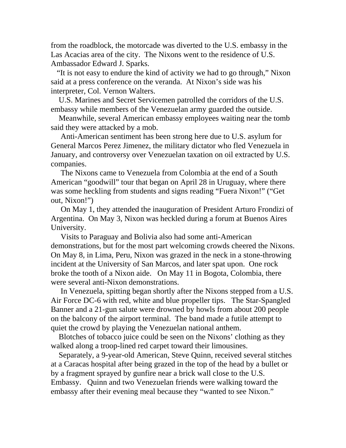from the roadblock, the motorcade was diverted to the U.S. embassy in the Las Acacias area of the city. The Nixons went to the residence of U.S. Ambassador Edward J. Sparks.

 "It is not easy to endure the kind of activity we had to go through," Nixon said at a press conference on the veranda. At Nixon's side was his interpreter, Col. Vernon Walters.

 U.S. Marines and Secret Servicemen patrolled the corridors of the U.S. embassy while members of the Venezuelan army guarded the outside.

 Meanwhile, several American embassy employees waiting near the tomb said they were attacked by a mob.

 Anti-American sentiment has been strong here due to U.S. asylum for General Marcos Perez Jimenez, the military dictator who fled Venezuela in January, and controversy over Venezuelan taxation on oil extracted by U.S. companies.

 The Nixons came to Venezuela from Colombia at the end of a South American "goodwill" tour that began on April 28 in Uruguay, where there was some heckling from students and signs reading "Fuera Nixon!" ("Get out, Nixon!")

 On May 1, they attended the inauguration of President Arturo Frondizi of Argentina. On May 3, Nixon was heckled during a forum at Buenos Aires University.

 Visits to Paraguay and Bolivia also had some anti-American demonstrations, but for the most part welcoming crowds cheered the Nixons. On May 8, in Lima, Peru, Nixon was grazed in the neck in a stone-throwing incident at the University of San Marcos, and later spat upon. One rock broke the tooth of a Nixon aide. On May 11 in Bogota, Colombia, there were several anti-Nixon demonstrations.

 In Venezuela, spitting began shortly after the Nixons stepped from a U.S. Air Force DC-6 with red, white and blue propeller tips. The Star-Spangled Banner and a 21-gun salute were drowned by howls from about 200 people on the balcony of the airport terminal. The band made a futile attempt to quiet the crowd by playing the Venezuelan national anthem.

 Blotches of tobacco juice could be seen on the Nixons' clothing as they walked along a troop-lined red carpet toward their limousines.

 Separately, a 9-year-old American, Steve Quinn, received several stitches at a Caracas hospital after being grazed in the top of the head by a bullet or by a fragment sprayed by gunfire near a brick wall close to the U.S. Embassy. Quinn and two Venezuelan friends were walking toward the embassy after their evening meal because they "wanted to see Nixon."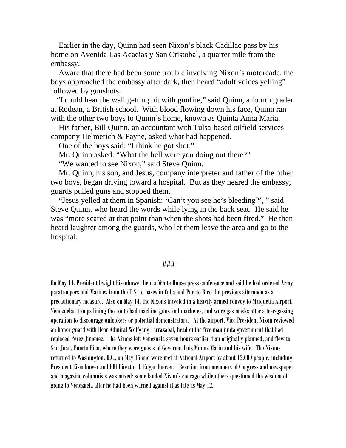Earlier in the day, Quinn had seen Nixon's black Cadillac pass by his home on Avenida Las Acacias y San Cristobal, a quarter mile from the embassy.

 Aware that there had been some trouble involving Nixon's motorcade, the boys approached the embassy after dark, then heard "adult voices yelling" followed by gunshots.

 "I could hear the wall getting hit with gunfire," said Quinn, a fourth grader at Rodean, a British school. With blood flowing down his face, Quinn ran with the other two boys to Quinn's home, known as Quinta Anna Maria.

 His father, Bill Quinn, an accountant with Tulsa-based oilfield services company Helmerich & Payne, asked what had happened.

One of the boys said: "I think he got shot."

Mr. Quinn asked: "What the hell were you doing out there?"

"We wanted to see Nixon," said Steve Quinn.

 Mr. Quinn, his son, and Jesus, company interpreter and father of the other two boys, began driving toward a hospital. But as they neared the embassy, guards pulled guns and stopped them.

 "Jesus yelled at them in Spanish: 'Can't you see he's bleeding?', " said Steve Quinn, who heard the words while lying in the back seat. He said he was "more scared at that point than when the shots had been fired." He then heard laughter among the guards, who let them leave the area and go to the hospital.

## ###

On May 14, President Dwight Eisenhower held a White House press conference and said he had ordered Army paratroopers and Marines from the U.S. to bases in Cuba and Puerto Rico the previous afternoon as a precautionary measure. Also on May 14, the Nixons traveled in a heavily armed convoy to Maiquetia Airport. Venezuelan troops lining the route had machine guns and machetes, and wore gas masks after a tear-gassing operation to discourage onlookers or potential demonstrators. At the airport, Vice President Nixon reviewed an honor guard with Rear Admiral Wolfgang Larrazabal, head of the five-man junta government that had replaced Perez Jimenez. The Nixons left Venezuela seven hours earlier than originally planned, and flew to San Juan, Puerto Rico, where they were guests of Governor Luis Munoz Marin and his wife. The Nixons returned to Washington, D.C., on May 15 and were met at National Airport by about 15,000 people, including President Eisenhower and FBI Director J. Edgar Hoover. Reaction from members of Congress and newspaper and magazine columnists was mixed: some lauded Nixon's courage while others questioned the wisdom of going to Venezuela after he had been warned against it as late as May 12.